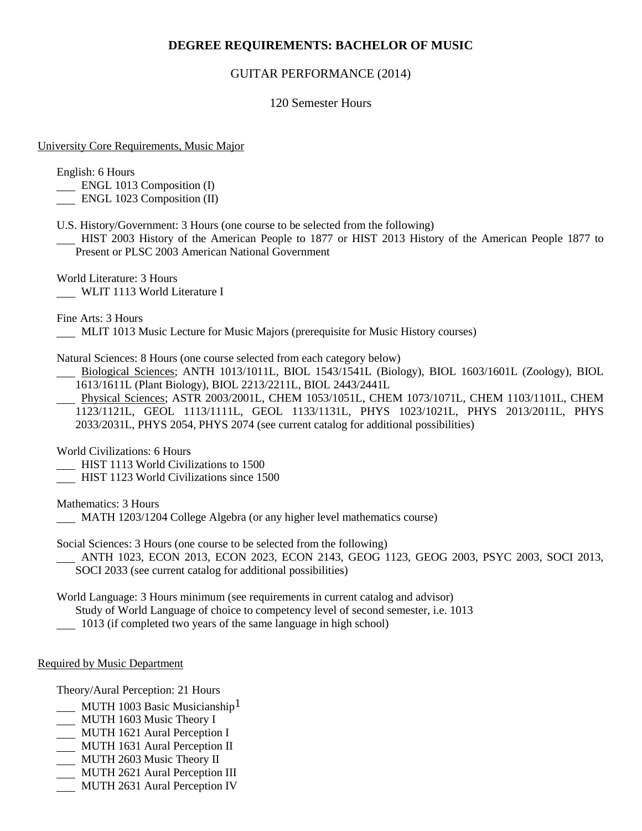# **DEGREE REQUIREMENTS: BACHELOR OF MUSIC**

### GUITAR PERFORMANCE (2014)

### 120 Semester Hours

#### University Core Requirements, Music Major

English: 6 Hours

- ENGL 1013 Composition (I)
- ENGL 1023 Composition (II)
- U.S. History/Government: 3 Hours (one course to be selected from the following)
- HIST 2003 History of the American People to 1877 or HIST 2013 History of the American People 1877 to Present or PLSC 2003 American National Government

World Literature: 3 Hours WLIT 1113 World Literature I

Fine Arts: 3 Hours

MLIT 1013 Music Lecture for Music Majors (prerequisite for Music History courses)

Natural Sciences: 8 Hours (one course selected from each category below)

- Biological Sciences; ANTH 1013/1011L, BIOL 1543/1541L (Biology), BIOL 1603/1601L (Zoology), BIOL 1613/1611L (Plant Biology), BIOL 2213/2211L, BIOL 2443/2441L
- Physical Sciences; ASTR 2003/2001L, CHEM 1053/1051L, CHEM 1073/1071L, CHEM 1103/1101L, CHEM 1123/1121L, GEOL 1113/1111L, GEOL 1133/1131L, PHYS 1023/1021L, PHYS 2013/2011L, PHYS 2033/2031L, PHYS 2054, PHYS 2074 (see current catalog for additional possibilities)

World Civilizations: 6 Hours

- **HIST 1113 World Civilizations to 1500**
- HIST 1123 World Civilizations since 1500

Mathematics: 3 Hours

MATH 1203/1204 College Algebra (or any higher level mathematics course)

Social Sciences: 3 Hours (one course to be selected from the following)

 ANTH 1023, ECON 2013, ECON 2023, ECON 2143, GEOG 1123, GEOG 2003, PSYC 2003, SOCI 2013, SOCI 2033 (see current catalog for additional possibilities)

World Language: 3 Hours minimum (see requirements in current catalog and advisor)

Study of World Language of choice to competency level of second semester, i.e. 1013

1013 (if completed two years of the same language in high school)

#### Required by Music Department

Theory/Aural Perception: 21 Hours

- MUTH 1003 Basic Musicianship<sup>1</sup>
- MUTH 1603 Music Theory I
- **MUTH 1621 Aural Perception I**
- MUTH 1631 Aural Perception II
- MUTH 2603 Music Theory II
- MUTH 2621 Aural Perception III
- MUTH 2631 Aural Perception IV